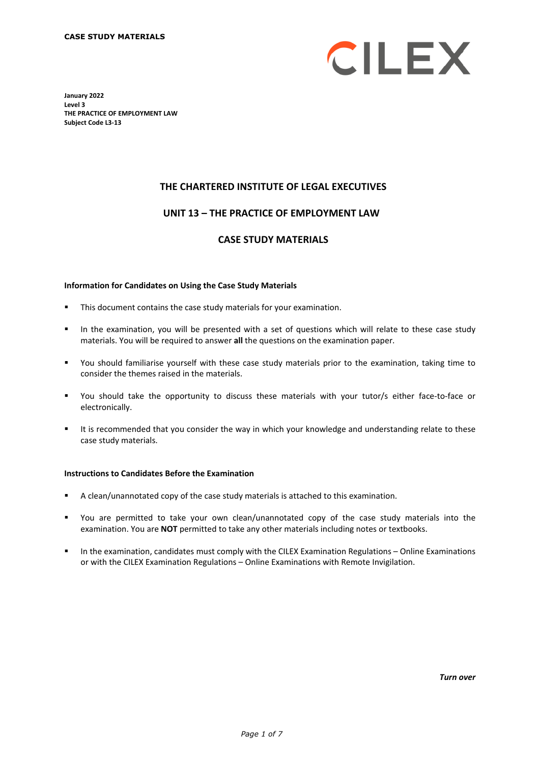

**January 2022 Level 3 THE PRACTICE OF EMPLOYMENT LAW Subject Code L3-13**

# **THE CHARTERED INSTITUTE OF LEGAL EXECUTIVES**

## **UNIT 13 – THE PRACTICE OF EMPLOYMENT LAW\***

#### **CASE STUDY MATERIALS**

#### **Information for Candidates on Using the Case Study Materials**

- This document contains the case study materials for your examination.
- In the examination, you will be presented with a set of questions which will relate to these case study materials. You will be required to answer **all** the questions on the examination paper.
- You should familiarise yourself with these case study materials prior to the examination, taking time to consider the themes raised in the materials.
- You should take the opportunity to discuss these materials with your tutor/s either face-to-face or electronically.
- It is recommended that you consider the way in which your knowledge and understanding relate to these case study materials.

#### **Instructions to Candidates Before the Examination**

- A clean/unannotated copy of the case study materials is attached to this examination.
- You are permitted to take your own clean/unannotated copy of the case study materials into the examination. You are **NOT** permitted to take any other materials including notes or textbooks.
- **In the examination, candidates must comply with the CILEX Examination Regulations Online Examinations** or with the CILEX Examination Regulations – Online Examinations with Remote Invigilation.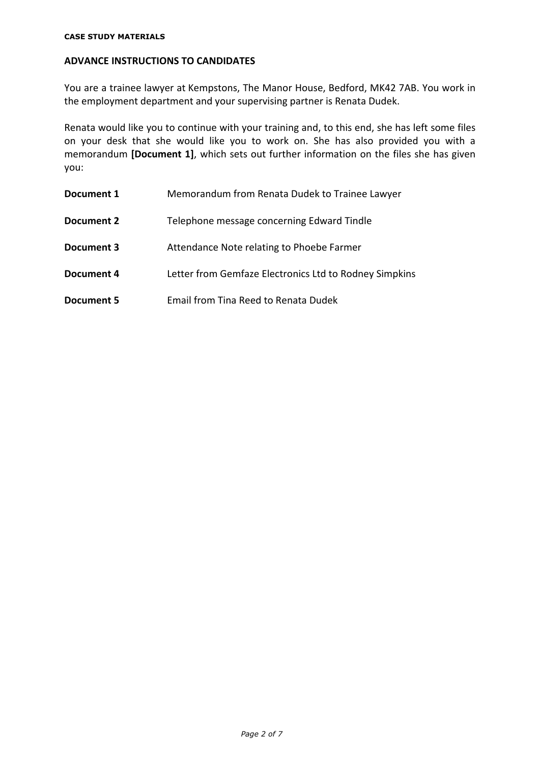## **ADVANCE INSTRUCTIONS TO CANDIDATES**

You are a trainee lawyer at Kempstons, The Manor House, Bedford, MK42 7AB. You work in the employment department and your supervising partner is Renata Dudek.

Renata would like you to continue with your training and, to this end, she has left some files on your desk that she would like you to work on. She has also provided you with a memorandum **[Document 1]**, which sets out further information on the files she has given you:

| Document 1 | Memorandum from Renata Dudek to Trainee Lawyer         |
|------------|--------------------------------------------------------|
| Document 2 | Telephone message concerning Edward Tindle             |
| Document 3 | Attendance Note relating to Phoebe Farmer              |
| Document 4 | Letter from Gemfaze Electronics Ltd to Rodney Simpkins |
| Document 5 | Email from Tina Reed to Renata Dudek                   |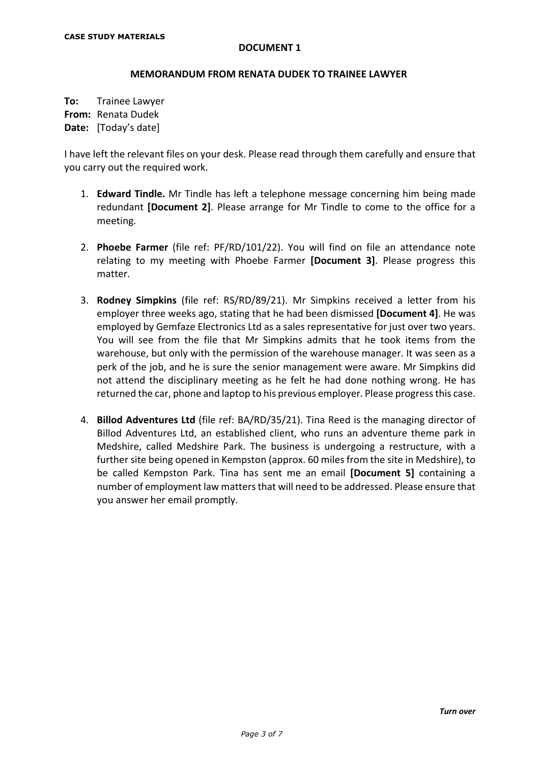#### **MEMORANDUM FROM RENATA DUDEK TO TRAINEE LAWYER**

**To:** Trainee Lawyer **From:** Renata Dudek **Date:** [Today's date]

I have left the relevant files on your desk. Please read through them carefully and ensure that you carry out the required work.

- 1. **Edward Tindle.** Mr Tindle has left a telephone message concerning him being made redundant **[Document 2]**. Please arrange for Mr Tindle to come to the office for a meeting.
- 2. **Phoebe Farmer** (file ref: PF/RD/101/22). You will find on file an attendance note relating to my meeting with Phoebe Farmer **[Document 3]**. Please progress this matter.
- 3. **Rodney Simpkins** (file ref: RS/RD/89/21). Mr Simpkins received a letter from his employer three weeks ago, stating that he had been dismissed **[Document 4]**. He was employed by Gemfaze Electronics Ltd as a sales representative for just over two years. You will see from the file that Mr Simpkins admits that he took items from the warehouse, but only with the permission of the warehouse manager. It was seen as a perk of the job, and he is sure the senior management were aware. Mr Simpkins did not attend the disciplinary meeting as he felt he had done nothing wrong. He has returned the car, phone and laptop to his previous employer. Please progress this case.
- 4. **Billod Adventures Ltd** (file ref: BA/RD/35/21). Tina Reed is the managing director of Billod Adventures Ltd, an established client, who runs an adventure theme park in Medshire, called Medshire Park. The business is undergoing a restructure, with a further site being opened in Kempston (approx. 60 miles from the site in Medshire), to be called Kempston Park. Tina has sent me an email **[Document 5]** containing a number of employment law matters that will need to be addressed. Please ensure that you answer her email promptly.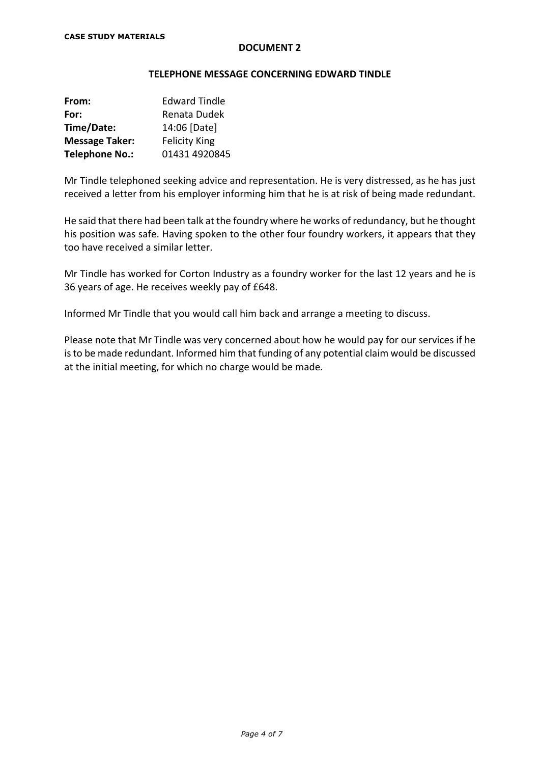#### **TELEPHONE MESSAGE CONCERNING EDWARD TINDLE**

| From:                 | <b>Edward Tindle</b> |
|-----------------------|----------------------|
| For:                  | Renata Dudek         |
| Time/Date:            | 14:06 [Date]         |
| <b>Message Taker:</b> | <b>Felicity King</b> |
| <b>Telephone No.:</b> | 01431 4920845        |

Mr Tindle telephoned seeking advice and representation. He is very distressed, as he has just received a letter from his employer informing him that he is at risk of being made redundant.

He said that there had been talk at the foundry where he works of redundancy, but he thought his position was safe. Having spoken to the other four foundry workers, it appears that they too have received a similar letter.

Mr Tindle has worked for Corton Industry as a foundry worker for the last 12 years and he is 36 years of age. He receives weekly pay of £648.

Informed Mr Tindle that you would call him back and arrange a meeting to discuss.

Please note that Mr Tindle was very concerned about how he would pay for our services if he is to be made redundant. Informed him that funding of any potential claim would be discussed at the initial meeting, for which no charge would be made.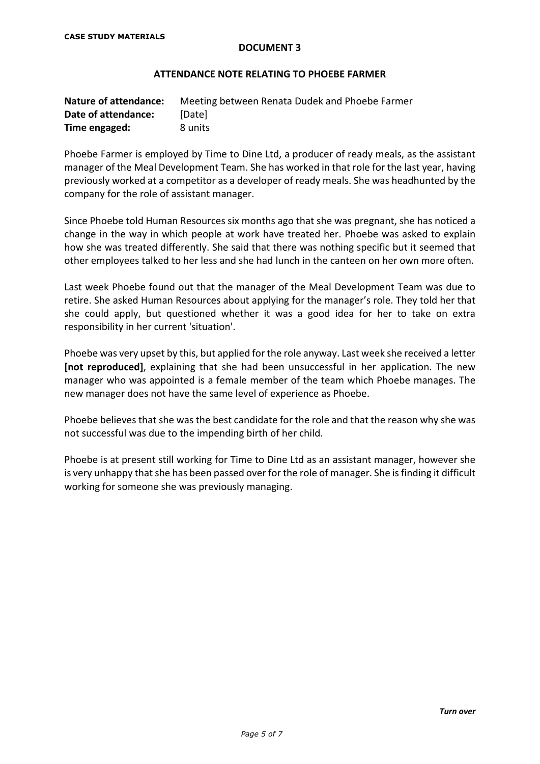#### **ATTENDANCE NOTE RELATING TO PHOEBE FARMER**

| <b>Nature of attendance:</b> | Meeting between Renata Dudek and Phoebe Farmer |
|------------------------------|------------------------------------------------|
| Date of attendance:          | <b>IDatel</b>                                  |
| Time engaged:                | 8 units                                        |

Phoebe Farmer is employed by Time to Dine Ltd, a producer of ready meals, as the assistant manager of the Meal Development Team. She has worked in that role for the last year, having previously worked at a competitor as a developer of ready meals. She was headhunted by the company for the role of assistant manager.

Since Phoebe told Human Resources six months ago that she was pregnant, she has noticed a change in the way in which people at work have treated her. Phoebe was asked to explain how she was treated differently. She said that there was nothing specific but it seemed that other employees talked to her less and she had lunch in the canteen on her own more often.

Last week Phoebe found out that the manager of the Meal Development Team was due to retire. She asked Human Resources about applying for the manager's role. They told her that she could apply, but questioned whether it was a good idea for her to take on extra responsibility in her current 'situation'.

Phoebe was very upset by this, but applied for the role anyway. Last week she received a letter **[not reproduced]**, explaining that she had been unsuccessful in her application. The new manager who was appointed is a female member of the team which Phoebe manages. The new manager does not have the same level of experience as Phoebe.

Phoebe believes that she was the best candidate for the role and that the reason why she was not successful was due to the impending birth of her child.

Phoebe is at present still working for Time to Dine Ltd as an assistant manager, however she is very unhappy that she has been passed over for the role of manager. She is finding it difficult working for someone she was previously managing.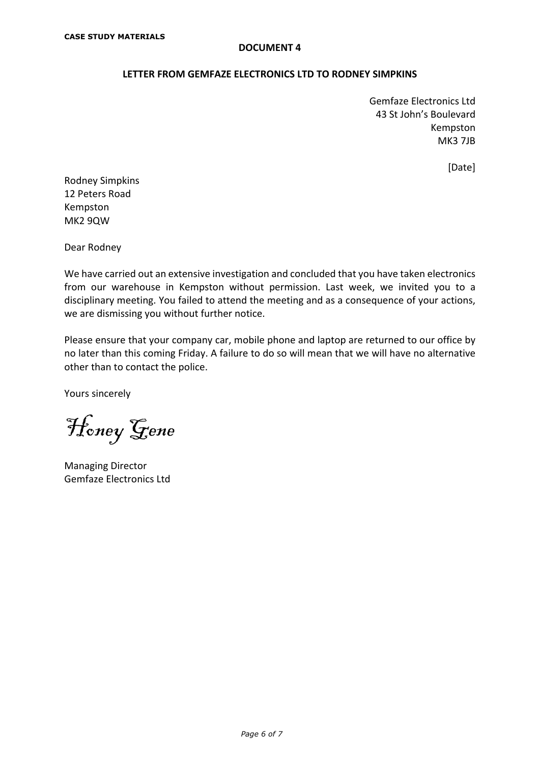## **LETTER FROM GEMFAZE ELECTRONICS LTD TO RODNEY SIMPKINS**

Gemfaze Electronics Ltd 43 St John's Boulevard Kempston MK3 7JB

[Date]

Rodney Simpkins 12 Peters Road Kempston MK2 9QW

Dear Rodney

We have carried out an extensive investigation and concluded that you have taken electronics from our warehouse in Kempston without permission. Last week, we invited you to a disciplinary meeting. You failed to attend the meeting and as a consequence of your actions, we are dismissing you without further notice.

Please ensure that your company car, mobile phone and laptop are returned to our office by no later than this coming Friday. A failure to do so will mean that we will have no alternative other than to contact the police.

Yours sincerely

Honey Gene

Managing Director Gemfaze Electronics Ltd